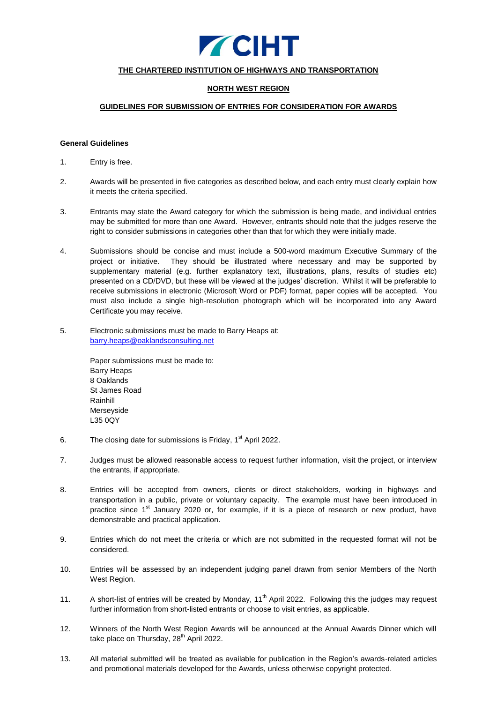

## **THE CHARTERED INSTITUTION OF HIGHWAYS AND TRANSPORTATION**

## **NORTH WEST REGION**

#### **GUIDELINES FOR SUBMISSION OF ENTRIES FOR CONSIDERATION FOR AWARDS**

#### **General Guidelines**

- 1. Entry is free.
- 2. Awards will be presented in five categories as described below, and each entry must clearly explain how it meets the criteria specified.
- 3. Entrants may state the Award category for which the submission is being made, and individual entries may be submitted for more than one Award. However, entrants should note that the judges reserve the right to consider submissions in categories other than that for which they were initially made.
- 4. Submissions should be concise and must include a 500-word maximum Executive Summary of the project or initiative. They should be illustrated where necessary and may be supported by supplementary material (e.g. further explanatory text, illustrations, plans, results of studies etc) presented on a CD/DVD, but these will be viewed at the judges' discretion. Whilst it will be preferable to receive submissions in electronic (Microsoft Word or PDF) format, paper copies will be accepted. You must also include a single high-resolution photograph which will be incorporated into any Award Certificate you may receive.
- 5. Electronic submissions must be made to Barry Heaps at: [barry.heaps@oaklandsconsulting.net](mailto:barry.heaps@oaklandsconsulting.net)

Paper submissions must be made to: Barry Heaps 8 Oaklands St James Road Rainhill Merseyside L35 0QY

- 6. The closing date for submissions is Friday,  $1<sup>st</sup>$  April 2022.
- 7. Judges must be allowed reasonable access to request further information, visit the project, or interview the entrants, if appropriate.
- 8. Entries will be accepted from owners, clients or direct stakeholders, working in highways and transportation in a public, private or voluntary capacity. The example must have been introduced in practice since 1<sup>st</sup> January 2020 or, for example, if it is a piece of research or new product, have demonstrable and practical application.
- 9. Entries which do not meet the criteria or which are not submitted in the requested format will not be considered.
- 10. Entries will be assessed by an independent judging panel drawn from senior Members of the North West Region.
- 11. A short-list of entries will be created by Monday,  $11<sup>th</sup>$  April 2022. Following this the judges may request further information from short-listed entrants or choose to visit entries, as applicable.
- 12. Winners of the North West Region Awards will be announced at the Annual Awards Dinner which will take place on Thursday, 28<sup>th</sup> April 2022.
- 13. All material submitted will be treated as available for publication in the Region's awards-related articles and promotional materials developed for the Awards, unless otherwise copyright protected.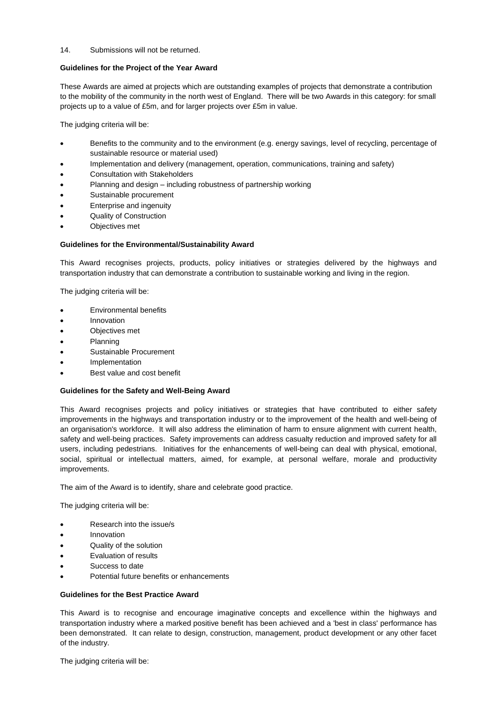#### 14. Submissions will not be returned.

## **Guidelines for the Project of the Year Award**

These Awards are aimed at projects which are outstanding examples of projects that demonstrate a contribution to the mobility of the community in the north west of England. There will be two Awards in this category: for small projects up to a value of £5m, and for larger projects over £5m in value.

The judging criteria will be:

- Benefits to the community and to the environment (e.g. energy savings, level of recycling, percentage of sustainable resource or material used)
- Implementation and delivery (management, operation, communications, training and safety)
- Consultation with Stakeholders
- Planning and design including robustness of partnership working
- Sustainable procurement
- Enterprise and ingenuity
- Quality of Construction
- Objectives met

## **Guidelines for the Environmental/Sustainability Award**

This Award recognises projects, products, policy initiatives or strategies delivered by the highways and transportation industry that can demonstrate a contribution to sustainable working and living in the region.

The judging criteria will be:

- Environmental benefits
- Innovation
- Objectives met
- Planning
- Sustainable Procurement
- Implementation
- Best value and cost benefit

# **Guidelines for the Safety and Well-Being Award**

This Award recognises projects and policy initiatives or strategies that have contributed to either safety improvements in the highways and transportation industry or to the improvement of the health and well-being of an organisation's workforce. It will also address the elimination of harm to ensure alignment with current health, safety and well-being practices. Safety improvements can address casualty reduction and improved safety for all users, including pedestrians. Initiatives for the enhancements of well-being can deal with physical, emotional, social, spiritual or intellectual matters, aimed, for example, at personal welfare, morale and productivity improvements.

The aim of the Award is to identify, share and celebrate good practice.

The judging criteria will be:

- Research into the issue/s
- Innovation
- Quality of the solution
- Evaluation of results
- Success to date
- Potential future benefits or enhancements

#### **Guidelines for the Best Practice Award**

This Award is to recognise and encourage imaginative concepts and excellence within the highways and transportation industry where a marked positive benefit has been achieved and a 'best in class' performance has been demonstrated. It can relate to design, construction, management, product development or any other facet of the industry.

The judging criteria will be: